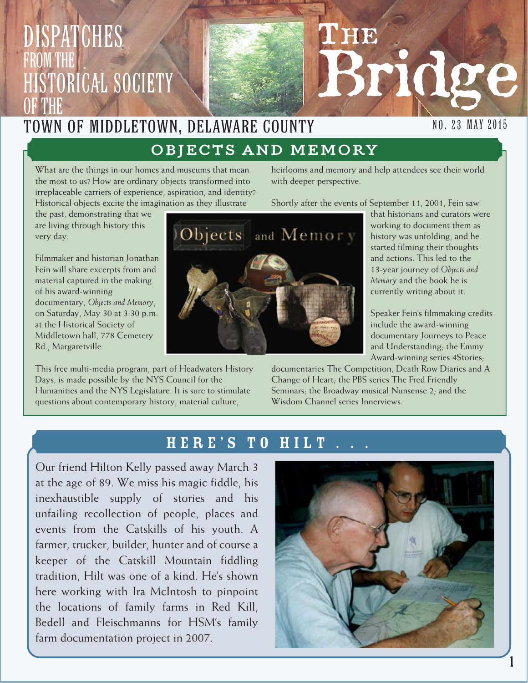## Dispatches from the **ISTORICAL SOCIETY** OF THE

### Town of Middletown, Delaware County

### OBJECTS AND MEMORY

What are the things in our homes and museums that mean the most to us? How are ordinary objects transformed into irreplaceable carriers of experience, aspiration, and identity? Historical objects excite the imagination as they illustrate

the past, demonstrating that we are living through history this very day.

Filmmaker and historian Jonathan Fein will share excerpts from and material captured in the making of his award-winning documentary, *Objects and Memory*, on Saturday, May 30 at 3:30 p.m. at the Historical Society of Middletown hall, 778 Cemetery Rd., Margaretville.

This free multi-media program, part of Headwaters History Days, is made possible by the NYS Council for the Humanities and the NYS Legislature. It is sure to stimulate questions about contemporary history, material culture,

heirlooms and memory and help attendees see their world with deeper perspective.

**THE** 

Shortly after the events of September 11, 2001, Fein saw

that historians and curators were working to document them as history was unfolding, and he started filming their thoughts and actions. This led to the 13-year journey of *Objects and Memory* and the book he is currently writing about it.

Bridge

Speaker Fein's filmmaking credits include the award-winning documentary Journeys to Peace and Understanding; the Emmy Award-winning series 4Stories;

documentaries The Competition, Death Row Diaries and A Change of Heart; the PBS series The Fred Friendly Seminars; the Broadway musical Nunsense 2; and the Wisdom Channel series Innerviews.

#### HERE'S TO HILT

Our friend Hilton Kelly passed away March 3 at the age of 89. We miss his magic fiddle, his inexhaustible supply of stories and his unfailing recollection of people, places and events from the Catskills of his youth. A farmer, trucker, builder, hunter and of course a keeper of the Catskill Mountain fiddling tradition, Hilt was one of a kind. He's shown here working with Ira McIntosh to pinpoint the locations of family farms in Red Kill, Bedell and Fleischmanns for HSM's family farm documentation project in 2007.





### NO. 23 MAY 2015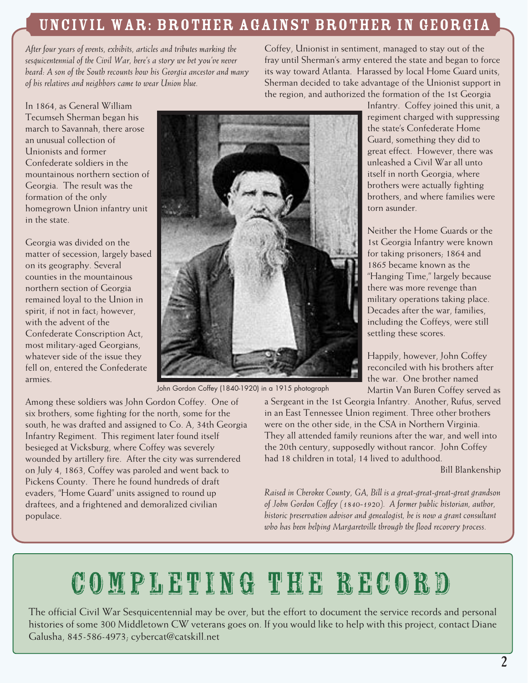### Uncivil War: Brother against brother in Georgia

*After four years of events, exhibits, articles and tributes marking the sesquicentennial of the Civil War, here's a story we bet you've never heard: A son of the South recounts how his Georgia ancestor and many of his relatives and neighbors came to wear Union blue.*

Coffey, Unionist in sentiment, managed to stay out of the fray until Sherman's army entered the state and began to force its way toward Atlanta. Harassed by local Home Guard units, Sherman decided to take advantage of the Unionist support in the region, and authorized the formation of the 1st Georgia

In 1864, as General William Tecumseh Sherman began his march to Savannah, there arose an unusual collection of Unionists and former Confederate soldiers in the mountainous northern section of Georgia. The result was the formation of the only homegrown Union infantry unit in the state.

Georgia was divided on the matter of secession, largely based on its geography. Several counties in the mountainous northern section of Georgia remained loyal to the Union in spirit, if not in fact; however, with the advent of the Confederate Conscription Act, most military-aged Georgians, whatever side of the issue they fell on, entered the Confederate armies.



John Gordon Coffey (1840-1920) in a 1915 photograph

Among these soldiers was John Gordon Coffey. One of six brothers, some fighting for the north, some for the south, he was drafted and assigned to Co. A, 34th Georgia Infantry Regiment. This regiment later found itself besieged at Vicksburg, where Coffey was severely wounded by artillery fire. After the city was surrendered on July 4, 1863, Coffey was paroled and went back to Pickens County. There he found hundreds of draft evaders, "Home Guard" units assigned to round up draftees, and a frightened and demoralized civilian populace.

Infantry. Coffey joined this unit, a regiment charged with suppressing the state's Confederate Home Guard, something they did to great effect. However, there was unleashed a Civil War all unto itself in north Georgia, where brothers were actually fighting brothers, and where families were torn asunder.

Neither the Home Guards or the 1st Georgia Infantry were known for taking prisoners; 1864 and 1865 became known as the "Hanging Time," largely because there was more revenge than military operations taking place. Decades after the war, families, including the Coffeys, were still settling these scores.

Happily, however, John Coffey reconciled with his brothers after the war. One brother named Martin Van Buren Coffey served as

a Sergeant in the 1st Georgia Infantry. Another, Rufus, served in an East Tennessee Union regiment. Three other brothers were on the other side, in the CSA in Northern Virginia. They all attended family reunions after the war, and well into the 20th century, supposedly without rancor. John Coffey had 18 children in total; 14 lived to adulthood.

Bill Blankenship

*Raised in Cherokee County, GA, Bill is a great-great-great-great grandson of John Gordon Coffey (1840-1920). A former public historian, author, historic preservation advisor and genealogist, he is now a grant consultant who has been helping Margaretville through the flood recovery process.*

# Completing the record

The official Civil War Sesquicentennial may be over, but the effort to document the service records and personal histories of some 300 Middletown CW veterans goes on. If you would like to help with this project, contact Diane Galusha, 845-586-4973; cybercat@catskill.net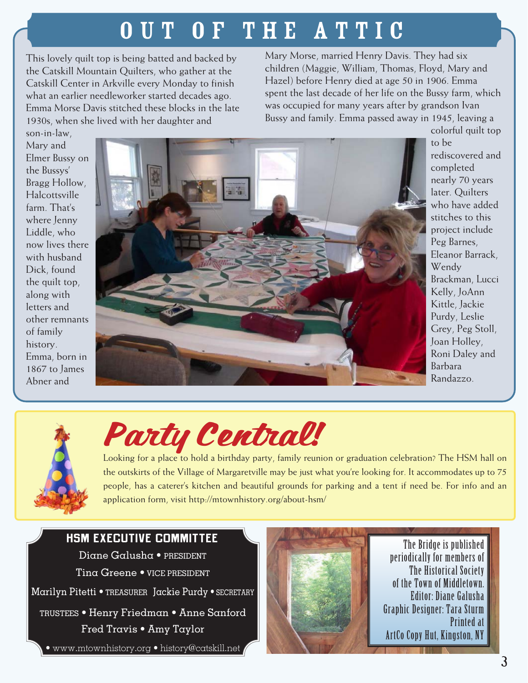## OUT OF THE ATTIC

This lovely quilt top is being batted and backed by the Catskill Mountain Quilters, who gather at the Catskill Center in Arkville every Monday to finish what an earlier needleworker started decades ago. Emma Morse Davis stitched these blocks in the late 1930s, when she lived with her daughter and

Mary Morse, married Henry Davis. They had six children (Maggie, William, Thomas, Floyd, Mary and Hazel) before Henry died at age 50 in 1906. Emma spent the last decade of her life on the Bussy farm, which was occupied for many years after by grandson Ivan Bussy and family. Emma passed away in 1945, leaving a

son-in-law, Mary and Elmer Bussy on the Bussys' Bragg Hollow, Halcottsville farm. That's where Jenny Liddle, who now lives there with husband Dick, found the quilt top, along with letters and other remnants of family history. Emma, born in 1867 to James Abner and



colorful quilt top to be rediscovered and completed nearly 70 years later. Quilters who have added stitches to this project include Peg Barnes, Eleanor Barrack, Wendy Brackman, Lucci Kelly, JoAnn Kittle, Jackie Purdy, Leslie Grey, Peg Stoll, Joan Holley, Roni Daley and Barbara Randazzo.



# Party Central!

Looking for a place to hold a birthday party, family reunion or graduation celebration? The HSM hall on the outskirts of the Village of Margaretville may be just what you're looking for. It accommodates up to 75 people, has a caterer's kitchen and beautiful grounds for parking and a tent if need be. For info and an application form, visit http://mtownhistory.org/about-hsm/

#### **HSM EXECUTIVE COMMITTEE**

Diane Galusha • PRESIDENT Tina Greene • VICE PRESIDENT

Marilyn Pitetti • TREASURER Jackie Purdy • SECRETARY

TRUSTEES • Henry Friedman • Anne Sanford Fred Travis • Amy Taylor

• www.mtownhistory.org • history@catskill.net



The Bridge is published periodically for members of The Historical Society of the Town of Middletown. Editor: Diane Galusha Graphic Designer: Tara Sturm Printed at ArtCo Copy Hut, Kingston, NY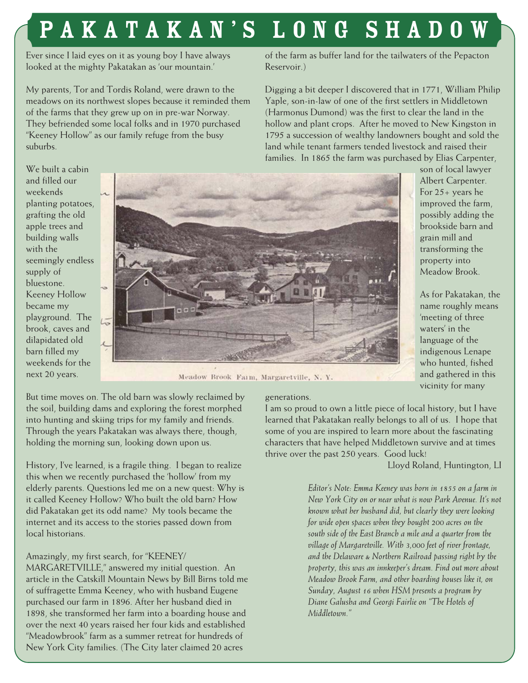# PAKATAKAN'S LONG SHADO

Ever since I laid eyes on it as young boy I have always looked at the mighty Pakatakan as 'our mountain.'

My parents, Tor and Tordis Roland, were drawn to the meadows on its northwest slopes because it reminded them of the farms that they grew up on in pre-war Norway. They befriended some local folks and in 1970 purchased "Keeney Hollow" as our family refuge from the busy suburbs.

of the farm as buffer land for the tailwaters of the Pepacton Reservoir.)

Digging a bit deeper I discovered that in 1771, William Philip Yaple, son-in-law of one of the first settlers in Middletown (Harmonus Dumond) was the first to clear the land in the hollow and plant crops. After he moved to New Kingston in 1795 a succession of wealthy landowners bought and sold the land while tenant farmers tended livestock and raised their families. In 1865 the farm was purchased by Elias Carpenter,

We built a cabin and filled our weekends planting potatoes, grafting the old apple trees and building walls with the seemingly endless supply of bluestone. Keeney Hollow became my playground. The brook, caves and dilapidated old barn filled my weekends for the next 20 years.



Meadow Brook Farm, Margaretville, N.Y.

But time moves on. The old barn was slowly reclaimed by the soil, building dams and exploring the forest morphed into hunting and skiing trips for my family and friends. Through the years Pakatakan was always there, though, holding the morning sun, looking down upon us.

History, I've learned, is a fragile thing. I began to realize this when we recently purchased the 'hollow' from my elderly parents. Questions led me on a new quest: Why is it called Keeney Hollow? Who built the old barn? How did Pakatakan get its odd name? My tools became the internet and its access to the stories passed down from local historians.

#### Amazingly, my first search, for "KEENEY/

MARGARETVILLE," answered my initial question. An article in the Catskill Mountain News by Bill Birns told me of suffragette Emma Keeney, who with husband Eugene purchased our farm in 1896. After her husband died in 1898, she transformed her farm into a boarding house and over the next 40 years raised her four kids and established "Meadowbrook" farm as a summer retreat for hundreds of New York City families. (The City later claimed 20 acres

#### generations.

I am so proud to own a little piece of local history, but I have learned that Pakatakan really belongs to all of us. I hope that some of you are inspired to learn more about the fascinating characters that have helped Middletown survive and at times thrive over the past 250 years. Good luck!

Lloyd Roland, Huntington, LI

son of local lawyer Albert Carpenter. For 25+ years he improved the farm, possibly adding the brookside barn and grain mill and transforming the property into Meadow Brook.

As for Pakatakan, the name roughly means 'meeting of three waters' in the language of the indigenous Lenape who hunted, fished and gathered in this vicinity for many

*Editor's Note: Emma Keeney was born in 1855 on a farm in New York City on or near what is now Park Avenue. It's not known what her husband did, but clearly they were looking for wide open spaces when they bought 200 acres on the south side of the East Branch a mile and a quarter from the village of Margaretville. With 3,000 feet of river frontage, and the Delaware & Northern Railroad passing right by the property, this was an innkeeper's dream. Find out more about Meadow Brook Farm, and other boarding houses like it, on Sunday, August 16 when HSM presents a program by Diane Galusha and Georgi Fairlie on "The Hotels of Middletown."*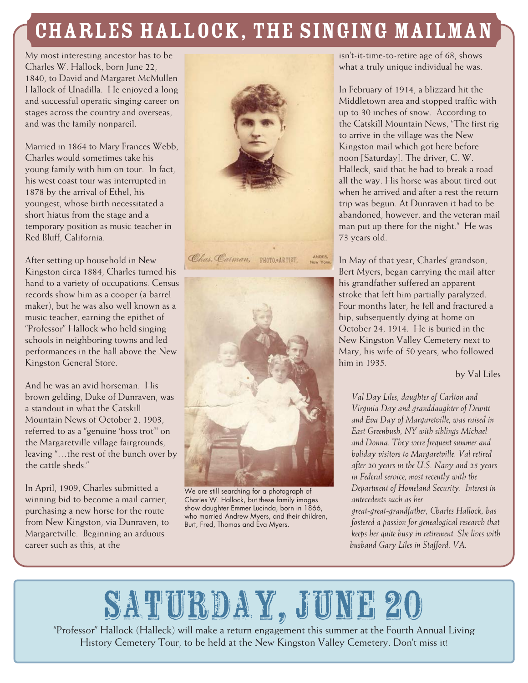### Charles HallOck, the singing mailman

My most interesting ancestor has to be Charles W. Hallock, born June 22, 1840, to David and Margaret McMullen Hallock of Unadilla. He enjoyed a long and successful operatic singing career on stages across the country and overseas, and was the family nonpareil.

Married in 1864 to Mary Frances Webb, Charles would sometimes take his young family with him on tour. In fact, his west coast tour was interrupted in 1878 by the arrival of Ethel, his youngest, whose birth necessitated a short hiatus from the stage and a temporary position as music teacher in Red Bluff, California.

After setting up household in New Kingston circa 1884, Charles turned his hand to a variety of occupations. Census records show him as a cooper (a barrel maker), but he was also well known as a music teacher, earning the epithet of "Professor" Hallock who held singing schools in neighboring towns and led performances in the hall above the New Kingston General Store.

And he was an avid horseman. His brown gelding, Duke of Dunraven, was a standout in what the Catskill Mountain News of October 2, 1903, referred to as a "genuine 'hoss trot'" on the Margaretville village fairgrounds, leaving "…the rest of the bunch over by the cattle sheds."

In April, 1909, Charles submitted a winning bid to become a mail carrier, purchasing a new horse for the route from New Kingston, via Dunraven, to Margaretville. Beginning an arduous career such as this, at the





We are still searching for a photograph of Charles W. Hallock, but these family images show daughter Emmer Lucinda, born in 1866, who married Andrew Myers, and their children, Burt, Fred, Thomas and Eva Myers.

isn't-it-time-to-retire age of 68, shows what a truly unique individual he was.

In February of 1914, a blizzard hit the Middletown area and stopped traffic with up to 30 inches of snow. According to the Catskill Mountain News, "The first rig to arrive in the village was the New Kingston mail which got here before noon [Saturday]. The driver, C. W. Halleck, said that he had to break a road all the way. His horse was about tired out when he arrived and after a rest the return trip was begun. At Dunraven it had to be abandoned, however, and the veteran mail man put up there for the night." He was 73 years old.

In May of that year, Charles' grandson, Bert Myers, began carrying the mail after his grandfather suffered an apparent stroke that left him partially paralyzed. Four months later, he fell and fractured a hip, subsequently dying at home on October 24, 1914. He is buried in the New Kingston Valley Cemetery next to Mary, his wife of 50 years, who followed him in 1935.

by Val Liles

*Val Day Liles, daughter of Carlton and Virginia Day and granddaughter of Dewitt and Eva Day of Margaretville, was raised in East Greenbush, NY with siblings Michael and Donna. They were frequent summer and holiday visitors to Margaretville. Val retired after 20 years in the U.S. Navy and 25 years in Federal service, most recently with the Department of Homeland Security. Interest in antecedents such as her great-great-grandfather, Charles Hallock, has* 

*fostered a passion for genealogical research that keeps her quite busy in retirement. She lives with husband Gary Liles in Stafford, VA.*

# SATURDAY, JUNE 20

"Professor" Hallock (Halleck) will make a return engagement this summer at the Fourth Annual Living History Cemetery Tour, to be held at the New Kingston Valley Cemetery. Don't miss it!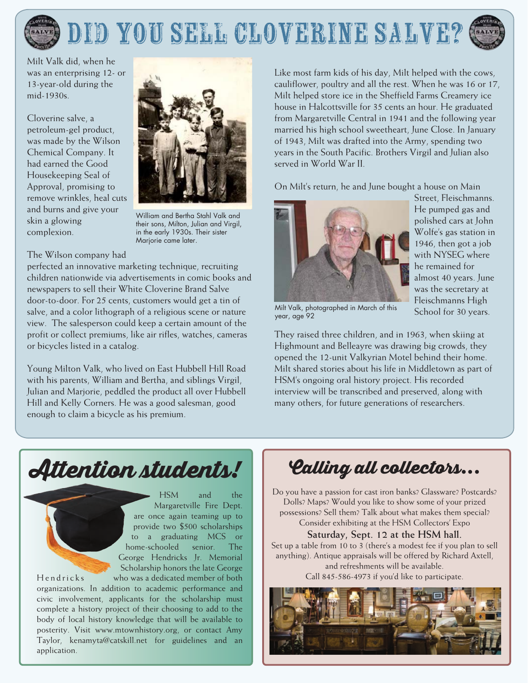

Milt Valk did, when he was an enterprising 12- or 13-year-old during the mid-1930s.

Cloverine salve, a petroleum-gel product. was made by the Wilson Chemical Company. It had earned the Good Housekeeping Seal of Approval, promising to remove wrinkles, heal cuts and burns and give your skin a glowing complexion.



William and Bertha Stahl Valk and their sons, Milton, Julian and Virgil, in the early 1930s. Their sister Marjorie came later.

#### The Wilson company had

perfected an innovative marketing technique, recruiting children nationwide via advertisements in comic books and newspapers to sell their White Cloverine Brand Salve door-to-door. For 25 cents, customers would get a tin of salve, and a color lithograph of a religious scene or nature view. The salesperson could keep a certain amount of the profit or collect premiums, like air rifles, watches, cameras or bicycles listed in a catalog.

Young Milton Valk, who lived on East Hubbell Hill Road with his parents, William and Bertha, and siblings Virgil, Julian and Marjorie, peddled the product all over Hubbell Hill and Kelly Corners. He was a good salesman, good enough to claim a bicycle as his premium.

Like most farm kids of his day, Milt helped with the cows, cauliflower, poultry and all the rest. When he was 16 or 17, Milt helped store ice in the Sheffield Farms Creamery ice house in Halcottsville for 35 cents an hour. He graduated from Margaretville Central in 1941 and the following year married his high school sweetheart, June Close. In January of 1943, Milt was drafted into the Army, spending two years in the South Pacific. Brothers Virgil and Julian also served in World War II.

On Milt's return, he and June bought a house on Main



Street, Fleischmanns. He pumped gas and polished cars at John Wolfe's gas station in 1946, then got a job with NYSEG where he remained for almost 40 years. June was the secretary at Fleischmanns High School for 30 years.

Milt Valk, photographed in March of this year, age 92

They raised three children, and in 1963, when skiing at Highmount and Belleayre was drawing big crowds, they opened the 12-unit Valkyrian Motel behind their home. Milt shared stories about his life in Middletown as part of HSM's ongoing oral history project. His recorded interview will be transcribed and preserved, along with many others, for future generations of researchers.

### Attention students!

and the **HSM** Margaretville Fire Dept. are once again teaming up to provide two \$500 scholarships to a graduating MCS or home-schooled senior. The George Hendricks Jr. Memorial Scholarship honors the late George who was a dedicated member of both

Hendricks organizations. In addition to academic performance and civic involvement, applicants for the scholarship must complete a history project of their choosing to add to the body of local history knowledge that will be available to posterity. Visit www.mtownhistory.org, or contact Amy Taylor, kenamyta@catskill.net for guidelines and an application.

### 'Calling all collectors...

Do you have a passion for cast iron banks? Glassware? Postcards? Dolls? Maps? Would you like to show some of your prized possessions? Sell them? Talk about what makes them special? Consider exhibiting at the HSM Collectors' Expo

#### Saturday, Sept. 12 at the HSM hall.

Set up a table from 10 to 3 (there's a modest fee if you plan to sell anything). Antique appraisals will be offered by Richard Axtell, and refreshments will be available. Call 845-586-4973 if you'd like to participate.

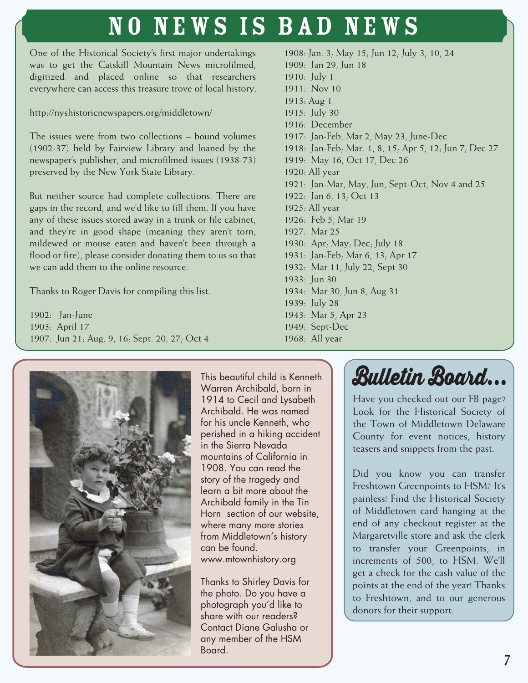## No News is bad news

One of the Historical Society's first major undertakings was to get the Catskill Mountain News microfilmed, digitized and placed online so that researchers everywhere can access this treasure trove of local history.

http://nyshistoricnewspapers.org/middletown/

The issues were from two collections – bound volumes (1902-37) held by Fairview Library and loaned by the newspaper's publisher, and microfilmed issues (1938-73) preserved by the New York State Library.

But neither source had complete collections. There are gaps in the record, and we'd like to fill them. If you have any of these issues stored away in a trunk or file cabinet, and they're in good shape (meaning they aren't torn, mildewed or mouse eaten and haven't been through a flood or fire), please consider donating them to us so that we can add them to the online resource.

Thanks to Roger Davis for compiling this list.

1902: Jan-June 1903: April 17 1907: Jun 21; Aug. 9, 16; Sept. 20, 27; Oct 4

1908: Jan. 3; May 15; Jun 12; July 3, 10, 24 1909: Jan 29, Jun 18 1910: July 1 1911: Nov 10 1913: Aug 1 1915: July 30 1916: December 1917: Jan-Feb, Mar 2, May 23, June-Dec 1918: Jan-Feb; Mar. 1, 8, 15; Apr 5, 12; Jun 7; Dec 27 1919: May 16, Oct 17, Dec 26 1920: All year 1921: Jan-Mar, May, Jun, Sept-Oct, Nov 4 and 25 1922: Jan 6, 13; Oct 13 1925: All year 1926: Feb 5, Mar 19 1927: Mar 25 1930: Apr; May; Dec; July 18 1931: Jan-Feb; Mar 6, 13; Apr 17 1932: Mar 11, July 22, Sept 30 1933: Jun 30 1934: Mar 30, Jun 8, Aug 31 1939: July 28 1943: Mar 5, Apr 23 1949: Sept-Dec 1968: All year



This beautiful child is Kenneth Warren Archibald, born in 1914 to Cecil and Lysabeth Archibald. He was named for his uncle Kenneth, who perished in a hiking accident in the Sierra Nevada mountains of California in 1908. You can read the story of the tragedy and learn a bit more about the Archibald family in the Tin Horn section of our website, where many more stories from Middletown's history can be found. www.mtownhistory.org

Thanks to Shirley Davis for the photo. Do you have a photograph you'd like to share with our readers? Contact Diane Galusha or any member of the HSM Board.



Have you checked out our FB page? Look for the Historical Society of the Town of Middletown Delaware County for event notices, history teasers and snippets from the past.

Did you know you can transfer Freshtown Greenpoints to HSM? It's painless! Find the Historical Society of Middletown card hanging at the end of any checkout register at the Margaretville store and ask the clerk to transfer your Greenpoints, in increments of 500, to HSM. We'll get a check for the cash value of the points at the end of the year! Thanks to Freshtown, and to our generous donors for their support.